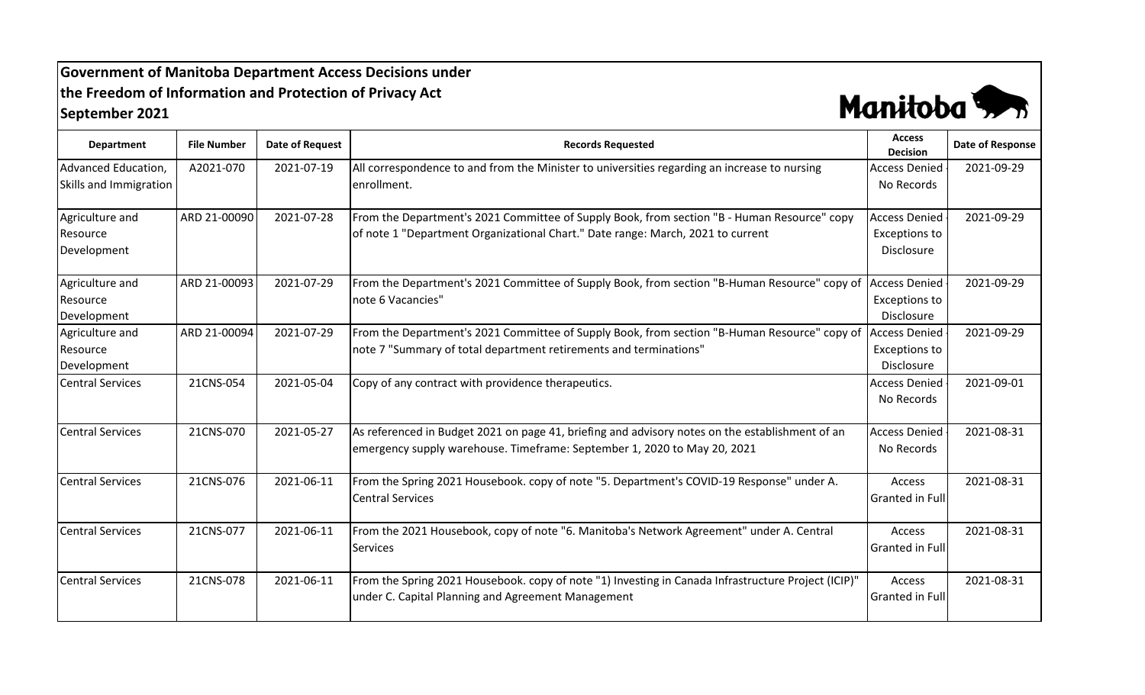## **Government of Manitoba Department Access Decisions under the Freedom of Information and Protection of Privacy Act September 2021**



| <b>Department</b>       | <b>File Number</b> | <b>Date of Request</b> | <b>Records Requested</b>                                                                                   | <b>Access</b><br><b>Decision</b> | Date of Response |
|-------------------------|--------------------|------------------------|------------------------------------------------------------------------------------------------------------|----------------------------------|------------------|
| Advanced Education,     | A2021-070          | 2021-07-19             | All correspondence to and from the Minister to universities regarding an increase to nursing               | <b>Access Denied</b>             | 2021-09-29       |
| Skills and Immigration  |                    |                        | enrollment.                                                                                                | No Records                       |                  |
| Agriculture and         | ARD 21-00090       | 2021-07-28             | From the Department's 2021 Committee of Supply Book, from section "B - Human Resource" copy                | <b>Access Denied</b>             | 2021-09-29       |
| Resource                |                    |                        | of note 1 "Department Organizational Chart." Date range: March, 2021 to current                            | Exceptions to                    |                  |
| Development             |                    |                        |                                                                                                            | Disclosure                       |                  |
| Agriculture and         | ARD 21-00093       | 2021-07-29             | From the Department's 2021 Committee of Supply Book, from section "B-Human Resource" copy of               | <b>Access Denied</b>             | 2021-09-29       |
| Resource                |                    |                        | note 6 Vacancies"                                                                                          | <b>Exceptions to</b>             |                  |
| Development             |                    |                        |                                                                                                            | Disclosure                       |                  |
| Agriculture and         | ARD 21-00094       | 2021-07-29             | From the Department's 2021 Committee of Supply Book, from section "B-Human Resource" copy of Access Denied |                                  | 2021-09-29       |
| Resource                |                    |                        | note 7 "Summary of total department retirements and terminations"                                          | <b>Exceptions to</b>             |                  |
| Development             |                    |                        |                                                                                                            | <b>Disclosure</b>                |                  |
| <b>Central Services</b> | 21CNS-054          | 2021-05-04             | Copy of any contract with providence therapeutics.                                                         | <b>Access Denied</b>             | 2021-09-01       |
|                         |                    |                        |                                                                                                            | No Records                       |                  |
| <b>Central Services</b> | 21CNS-070          | 2021-05-27             | As referenced in Budget 2021 on page 41, briefing and advisory notes on the establishment of an            | <b>Access Denied</b>             | 2021-08-31       |
|                         |                    |                        | emergency supply warehouse. Timeframe: September 1, 2020 to May 20, 2021                                   | No Records                       |                  |
| <b>Central Services</b> | 21CNS-076          | 2021-06-11             | From the Spring 2021 Housebook. copy of note "5. Department's COVID-19 Response" under A.                  | Access                           | 2021-08-31       |
|                         |                    |                        | <b>Central Services</b>                                                                                    | <b>Granted in Full</b>           |                  |
| <b>Central Services</b> | 21CNS-077          | 2021-06-11             | From the 2021 Housebook, copy of note "6. Manitoba's Network Agreement" under A. Central                   | Access                           | 2021-08-31       |
|                         |                    |                        | <b>Services</b>                                                                                            | <b>Granted in Full</b>           |                  |
| <b>Central Services</b> | 21CNS-078          | 2021-06-11             | From the Spring 2021 Housebook. copy of note "1) Investing in Canada Infrastructure Project (ICIP)"        | Access                           | 2021-08-31       |
|                         |                    |                        | under C. Capital Planning and Agreement Management                                                         | <b>Granted in Full</b>           |                  |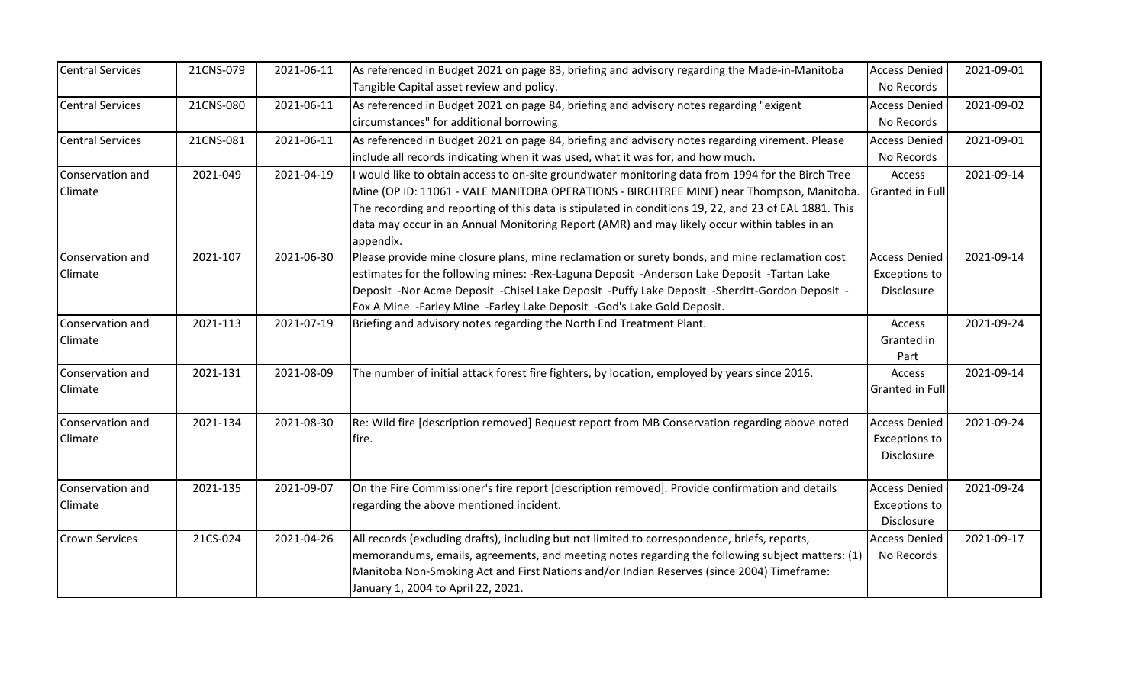| <b>Central Services</b> | 21CNS-079 | 2021-06-11 | As referenced in Budget 2021 on page 83, briefing and advisory regarding the Made-in-Manitoba         | <b>Access Denied</b> | 2021-09-01 |
|-------------------------|-----------|------------|-------------------------------------------------------------------------------------------------------|----------------------|------------|
|                         |           |            | Tangible Capital asset review and policy.                                                             | No Records           |            |
| <b>Central Services</b> | 21CNS-080 | 2021-06-11 | As referenced in Budget 2021 on page 84, briefing and advisory notes regarding "exigent               | <b>Access Denied</b> | 2021-09-02 |
|                         |           |            | circumstances" for additional borrowing                                                               | No Records           |            |
| <b>Central Services</b> | 21CNS-081 | 2021-06-11 | As referenced in Budget 2021 on page 84, briefing and advisory notes regarding virement. Please       | <b>Access Denied</b> | 2021-09-01 |
|                         |           |            | include all records indicating when it was used, what it was for, and how much.                       | No Records           |            |
| Conservation and        | 2021-049  | 2021-04-19 | I would like to obtain access to on-site groundwater monitoring data from 1994 for the Birch Tree     | Access               | 2021-09-14 |
| Climate                 |           |            | Mine (OP ID: 11061 - VALE MANITOBA OPERATIONS - BIRCHTREE MINE) near Thompson, Manitoba.              | Granted in Full      |            |
|                         |           |            | The recording and reporting of this data is stipulated in conditions 19, 22, and 23 of EAL 1881. This |                      |            |
|                         |           |            | data may occur in an Annual Monitoring Report (AMR) and may likely occur within tables in an          |                      |            |
|                         |           |            | appendix.                                                                                             |                      |            |
| Conservation and        | 2021-107  | 2021-06-30 | Please provide mine closure plans, mine reclamation or surety bonds, and mine reclamation cost        | <b>Access Denied</b> | 2021-09-14 |
| <b>Climate</b>          |           |            | estimates for the following mines: - Rex-Laguna Deposit - Anderson Lake Deposit - Tartan Lake         | Exceptions to        |            |
|                         |           |            | Deposit -Nor Acme Deposit -Chisel Lake Deposit -Puffy Lake Deposit -Sherritt-Gordon Deposit -         | <b>Disclosure</b>    |            |
|                         |           |            | Fox A Mine -Farley Mine -Farley Lake Deposit -God's Lake Gold Deposit.                                |                      |            |
| Conservation and        | 2021-113  | 2021-07-19 | Briefing and advisory notes regarding the North End Treatment Plant.                                  | Access               | 2021-09-24 |
| Climate                 |           |            |                                                                                                       | Granted in           |            |
|                         |           |            |                                                                                                       | Part                 |            |
| Conservation and        | 2021-131  | 2021-08-09 | The number of initial attack forest fire fighters, by location, employed by years since 2016.         | Access               | 2021-09-14 |
| Climate                 |           |            |                                                                                                       | Granted in Full      |            |
| Conservation and        | 2021-134  | 2021-08-30 | Re: Wild fire [description removed] Request report from MB Conservation regarding above noted         | <b>Access Denied</b> | 2021-09-24 |
| <b>Climate</b>          |           |            | fire.                                                                                                 | <b>Exceptions to</b> |            |
|                         |           |            |                                                                                                       | Disclosure           |            |
| Conservation and        | 2021-135  | 2021-09-07 | On the Fire Commissioner's fire report [description removed]. Provide confirmation and details        | <b>Access Denied</b> | 2021-09-24 |
| Climate                 |           |            | regarding the above mentioned incident.                                                               | <b>Exceptions to</b> |            |
|                         |           |            |                                                                                                       | Disclosure           |            |
| <b>Crown Services</b>   | 21CS-024  | 2021-04-26 | All records (excluding drafts), including but not limited to correspondence, briefs, reports,         | <b>Access Denied</b> | 2021-09-17 |
|                         |           |            | memorandums, emails, agreements, and meeting notes regarding the following subject matters: (1)       | No Records           |            |
|                         |           |            | Manitoba Non-Smoking Act and First Nations and/or Indian Reserves (since 2004) Timeframe:             |                      |            |
|                         |           |            | January 1, 2004 to April 22, 2021.                                                                    |                      |            |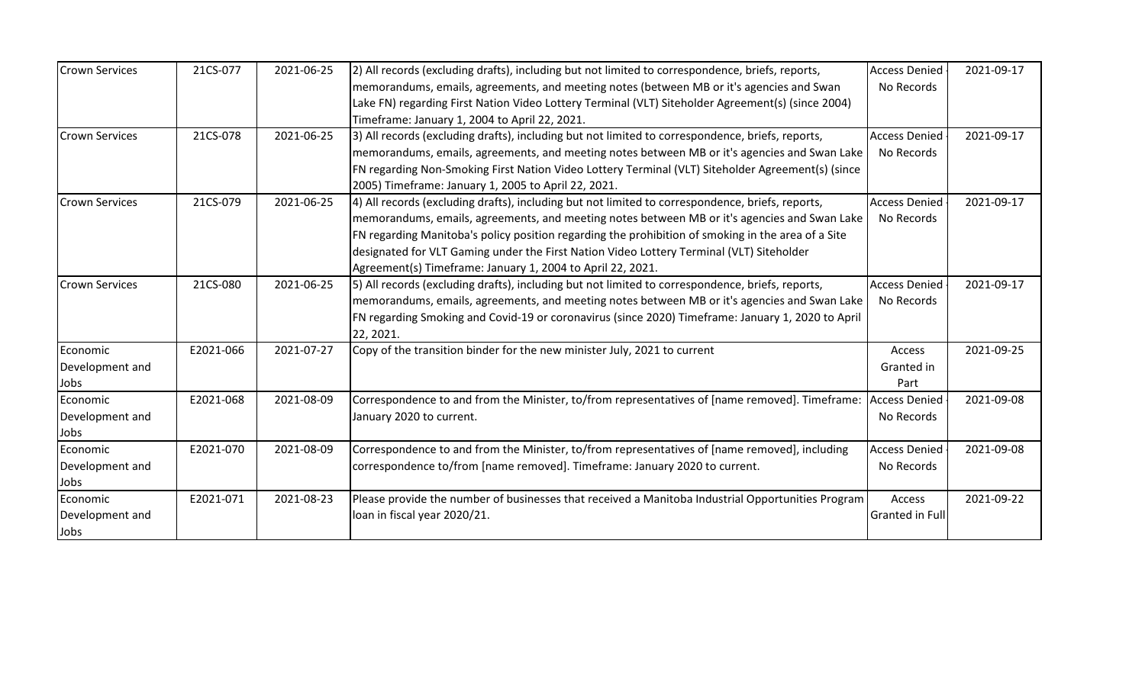| <b>Crown Services</b> | 21CS-077  | 2021-06-25 | [2] All records (excluding drafts), including but not limited to correspondence, briefs, reports,            | <b>Access Denied</b> | 2021-09-17 |
|-----------------------|-----------|------------|--------------------------------------------------------------------------------------------------------------|----------------------|------------|
|                       |           |            | memorandums, emails, agreements, and meeting notes (between MB or it's agencies and Swan                     | No Records           |            |
|                       |           |            | Lake FN) regarding First Nation Video Lottery Terminal (VLT) Siteholder Agreement(s) (since 2004)            |                      |            |
|                       |           |            | Timeframe: January 1, 2004 to April 22, 2021.                                                                |                      |            |
| <b>Crown Services</b> | 21CS-078  | 2021-06-25 | 3) All records (excluding drafts), including but not limited to correspondence, briefs, reports,             | <b>Access Denied</b> | 2021-09-17 |
|                       |           |            | memorandums, emails, agreements, and meeting notes between MB or it's agencies and Swan Lake                 | No Records           |            |
|                       |           |            | FN regarding Non-Smoking First Nation Video Lottery Terminal (VLT) Siteholder Agreement(s) (since            |                      |            |
|                       |           |            | 2005) Timeframe: January 1, 2005 to April 22, 2021.                                                          |                      |            |
| <b>Crown Services</b> | 21CS-079  | 2021-06-25 | [4] All records (excluding drafts), including but not limited to correspondence, briefs, reports,            | <b>Access Denied</b> | 2021-09-17 |
|                       |           |            | memorandums, emails, agreements, and meeting notes between MB or it's agencies and Swan Lake                 | No Records           |            |
|                       |           |            | FN regarding Manitoba's policy position regarding the prohibition of smoking in the area of a Site           |                      |            |
|                       |           |            | designated for VLT Gaming under the First Nation Video Lottery Terminal (VLT) Siteholder                     |                      |            |
|                       |           |            | Agreement(s) Timeframe: January 1, 2004 to April 22, 2021.                                                   |                      |            |
| <b>Crown Services</b> | 21CS-080  | 2021-06-25 | [5] All records (excluding drafts), including but not limited to correspondence, briefs, reports,            | <b>Access Denied</b> | 2021-09-17 |
|                       |           |            | memorandums, emails, agreements, and meeting notes between MB or it's agencies and Swan Lake                 | No Records           |            |
|                       |           |            | FN regarding Smoking and Covid-19 or coronavirus (since 2020) Timeframe: January 1, 2020 to April            |                      |            |
|                       |           |            | 22, 2021.                                                                                                    |                      |            |
| Economic              | E2021-066 | 2021-07-27 | Copy of the transition binder for the new minister July, 2021 to current                                     | Access               | 2021-09-25 |
| Development and       |           |            |                                                                                                              | Granted in           |            |
| Jobs                  |           |            |                                                                                                              | Part                 |            |
| Economic              | E2021-068 | 2021-08-09 | Correspondence to and from the Minister, to/from representatives of [name removed]. Timeframe: Access Denied |                      | 2021-09-08 |
| Development and       |           |            | January 2020 to current.                                                                                     | No Records           |            |
| Jobs                  |           |            |                                                                                                              |                      |            |
| Economic              | E2021-070 | 2021-08-09 | Correspondence to and from the Minister, to/from representatives of [name removed], including                | <b>Access Denied</b> | 2021-09-08 |
| Development and       |           |            | correspondence to/from [name removed]. Timeframe: January 2020 to current.                                   | No Records           |            |
| Jobs                  |           |            |                                                                                                              |                      |            |
| Economic              | E2021-071 | 2021-08-23 | Please provide the number of businesses that received a Manitoba Industrial Opportunities Program            | Access               | 2021-09-22 |
| Development and       |           |            | loan in fiscal year 2020/21.                                                                                 | Granted in Full      |            |
| Jobs                  |           |            |                                                                                                              |                      |            |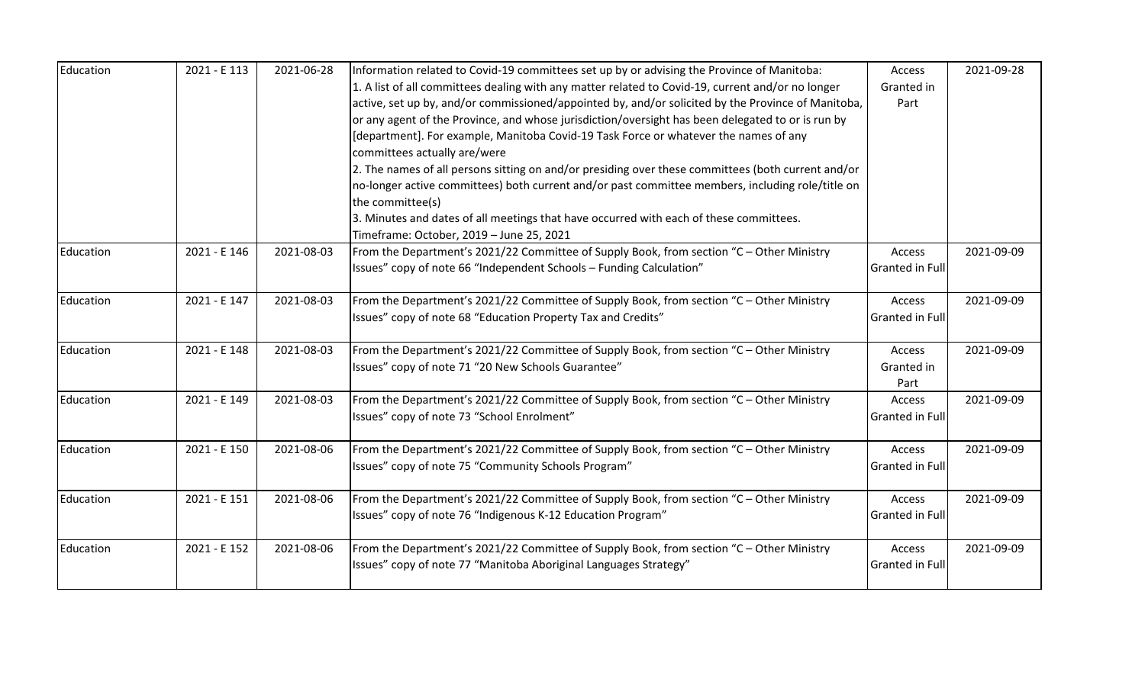| Education | 2021 - E 113 | 2021-06-28 | Information related to Covid-19 committees set up by or advising the Province of Manitoba:         | Access                 | 2021-09-28 |
|-----------|--------------|------------|----------------------------------------------------------------------------------------------------|------------------------|------------|
|           |              |            | 1. A list of all committees dealing with any matter related to Covid-19, current and/or no longer  | Granted in             |            |
|           |              |            | active, set up by, and/or commissioned/appointed by, and/or solicited by the Province of Manitoba, | Part                   |            |
|           |              |            | or any agent of the Province, and whose jurisdiction/oversight has been delegated to or is run by  |                        |            |
|           |              |            | [department]. For example, Manitoba Covid-19 Task Force or whatever the names of any               |                        |            |
|           |              |            | committees actually are/were                                                                       |                        |            |
|           |              |            | 2. The names of all persons sitting on and/or presiding over these committees (both current and/or |                        |            |
|           |              |            | no-longer active committees) both current and/or past committee members, including role/title on   |                        |            |
|           |              |            | the committee(s)                                                                                   |                        |            |
|           |              |            | 3. Minutes and dates of all meetings that have occurred with each of these committees.             |                        |            |
|           |              |            | Timeframe: October, 2019 - June 25, 2021                                                           |                        |            |
| Education | 2021 - E 146 | 2021-08-03 | From the Department's 2021/22 Committee of Supply Book, from section "C - Other Ministry           | Access                 | 2021-09-09 |
|           |              |            | Issues" copy of note 66 "Independent Schools - Funding Calculation"                                | <b>Granted in Full</b> |            |
| Education | 2021 - E 147 | 2021-08-03 | From the Department's 2021/22 Committee of Supply Book, from section "C - Other Ministry           | Access                 | 2021-09-09 |
|           |              |            | Issues" copy of note 68 "Education Property Tax and Credits"                                       | Granted in Full        |            |
|           |              |            |                                                                                                    |                        |            |
| Education | 2021 - E 148 | 2021-08-03 | From the Department's 2021/22 Committee of Supply Book, from section "C - Other Ministry           | Access                 | 2021-09-09 |
|           |              |            | Issues" copy of note 71 "20 New Schools Guarantee"                                                 | Granted in             |            |
|           |              |            |                                                                                                    | Part                   |            |
| Education | 2021 - E 149 | 2021-08-03 | From the Department's 2021/22 Committee of Supply Book, from section "C - Other Ministry           | Access                 | 2021-09-09 |
|           |              |            | Issues" copy of note 73 "School Enrolment"                                                         | <b>Granted in Full</b> |            |
|           |              |            |                                                                                                    |                        |            |
| Education | 2021 - E 150 | 2021-08-06 | From the Department's 2021/22 Committee of Supply Book, from section "C - Other Ministry           | Access                 | 2021-09-09 |
|           |              |            | Issues" copy of note 75 "Community Schools Program"                                                | <b>Granted in Full</b> |            |
| Education | 2021 - E 151 | 2021-08-06 | From the Department's 2021/22 Committee of Supply Book, from section "C - Other Ministry           | Access                 | 2021-09-09 |
|           |              |            | Issues" copy of note 76 "Indigenous K-12 Education Program"                                        | <b>Granted in Full</b> |            |
|           |              |            |                                                                                                    |                        |            |
| Education | 2021 - E 152 | 2021-08-06 | From the Department's 2021/22 Committee of Supply Book, from section "C - Other Ministry           | Access                 | 2021-09-09 |
|           |              |            | Issues" copy of note 77 "Manitoba Aboriginal Languages Strategy"                                   | <b>Granted in Full</b> |            |
|           |              |            |                                                                                                    |                        |            |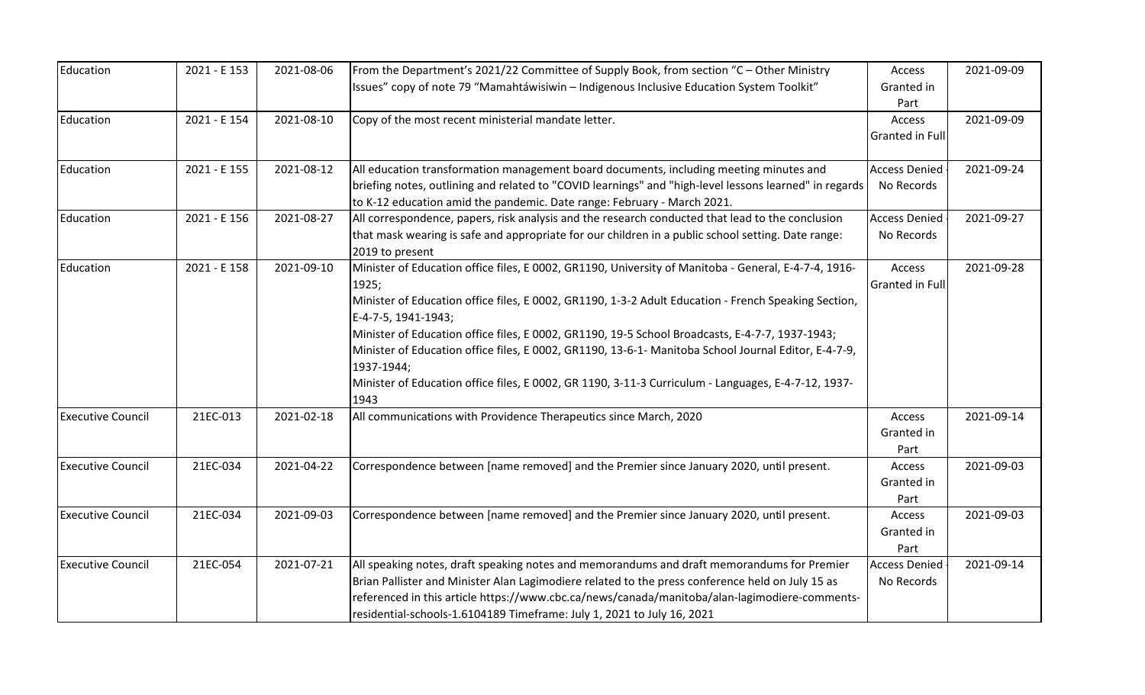| Education                | 2021 - E 153 | 2021-08-06 | From the Department's 2021/22 Committee of Supply Book, from section "C - Other Ministry               | Access               | 2021-09-09 |
|--------------------------|--------------|------------|--------------------------------------------------------------------------------------------------------|----------------------|------------|
|                          |              |            | Issues" copy of note 79 "Mamahtáwisiwin - Indigenous Inclusive Education System Toolkit"               | Granted in           |            |
|                          |              |            |                                                                                                        | Part                 |            |
| Education                | 2021 - E 154 | 2021-08-10 | Copy of the most recent ministerial mandate letter.                                                    | Access               | 2021-09-09 |
|                          |              |            |                                                                                                        | Granted in Full      |            |
|                          |              |            |                                                                                                        |                      |            |
| Education                | 2021 - E 155 | 2021-08-12 | All education transformation management board documents, including meeting minutes and                 | <b>Access Denied</b> | 2021-09-24 |
|                          |              |            | briefing notes, outlining and related to "COVID learnings" and "high-level lessons learned" in regards | No Records           |            |
|                          |              |            | to K-12 education amid the pandemic. Date range: February - March 2021.                                |                      |            |
| Education                | 2021 - E 156 | 2021-08-27 | All correspondence, papers, risk analysis and the research conducted that lead to the conclusion       | <b>Access Denied</b> | 2021-09-27 |
|                          |              |            | that mask wearing is safe and appropriate for our children in a public school setting. Date range:     | No Records           |            |
|                          |              |            | 2019 to present                                                                                        |                      |            |
| Education                | 2021 - E 158 | 2021-09-10 | Minister of Education office files, E 0002, GR1190, University of Manitoba - General, E-4-7-4, 1916-   | Access               | 2021-09-28 |
|                          |              |            | 1925;                                                                                                  | Granted in Full      |            |
|                          |              |            | Minister of Education office files, E 0002, GR1190, 1-3-2 Adult Education - French Speaking Section,   |                      |            |
|                          |              |            | E-4-7-5, 1941-1943;                                                                                    |                      |            |
|                          |              |            | Minister of Education office files, E 0002, GR1190, 19-5 School Broadcasts, E-4-7-7, 1937-1943;        |                      |            |
|                          |              |            | Minister of Education office files, E 0002, GR1190, 13-6-1- Manitoba School Journal Editor, E-4-7-9,   |                      |            |
|                          |              |            | 1937-1944;                                                                                             |                      |            |
|                          |              |            | Minister of Education office files, E 0002, GR 1190, 3-11-3 Curriculum - Languages, E-4-7-12, 1937-    |                      |            |
|                          |              |            | 1943                                                                                                   |                      |            |
| <b>Executive Council</b> | 21EC-013     | 2021-02-18 | All communications with Providence Therapeutics since March, 2020                                      | Access               | 2021-09-14 |
|                          |              |            |                                                                                                        | Granted in           |            |
|                          |              |            |                                                                                                        | Part                 |            |
| <b>Executive Council</b> | 21EC-034     | 2021-04-22 | Correspondence between [name removed] and the Premier since January 2020, until present.               | Access               | 2021-09-03 |
|                          |              |            |                                                                                                        | Granted in           |            |
|                          |              |            |                                                                                                        | Part                 |            |
| <b>Executive Council</b> | 21EC-034     | 2021-09-03 | Correspondence between [name removed] and the Premier since January 2020, until present.               | Access               | 2021-09-03 |
|                          |              |            |                                                                                                        | Granted in           |            |
|                          |              |            |                                                                                                        | Part                 |            |
| <b>Executive Council</b> | 21EC-054     | 2021-07-21 | All speaking notes, draft speaking notes and memorandums and draft memorandums for Premier             | <b>Access Denied</b> | 2021-09-14 |
|                          |              |            | Brian Pallister and Minister Alan Lagimodiere related to the press conference held on July 15 as       | No Records           |            |
|                          |              |            | referenced in this article https://www.cbc.ca/news/canada/manitoba/alan-lagimodiere-comments-          |                      |            |
|                          |              |            | residential-schools-1.6104189 Timeframe: July 1, 2021 to July 16, 2021                                 |                      |            |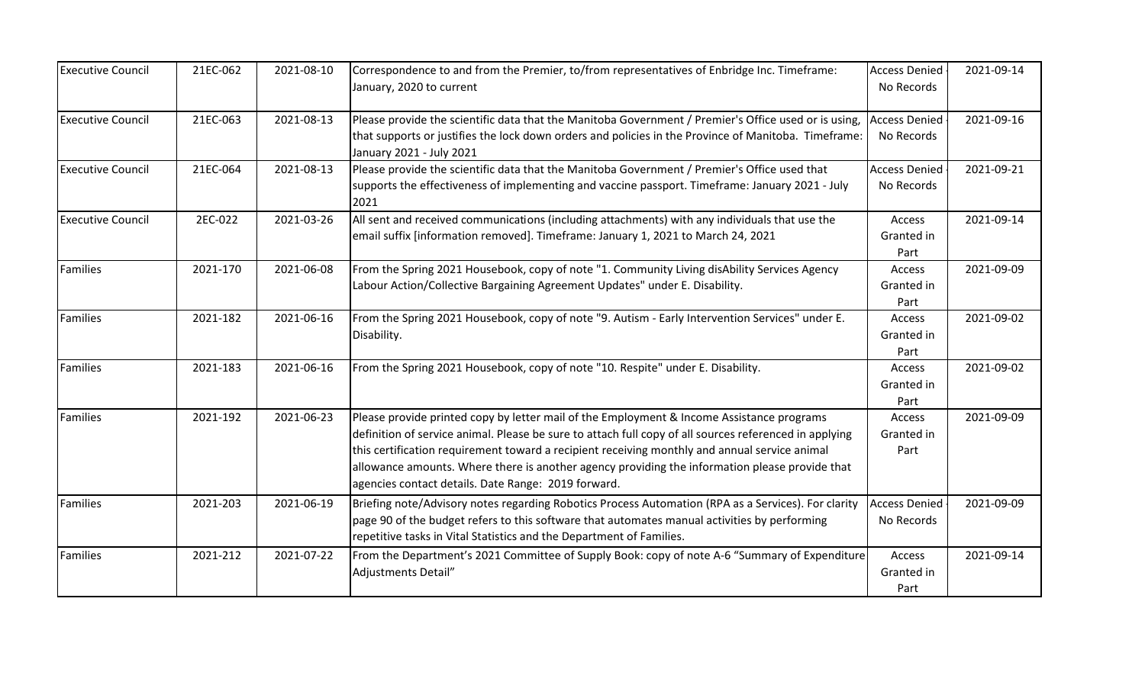| <b>Executive Council</b> | 21EC-062 | 2021-08-10 | Correspondence to and from the Premier, to/from representatives of Enbridge Inc. Timeframe:<br>January, 2020 to current                                                                                                                                                                                                                                                                                                                                       | <b>Access Denied</b><br>No Records | 2021-09-14 |
|--------------------------|----------|------------|---------------------------------------------------------------------------------------------------------------------------------------------------------------------------------------------------------------------------------------------------------------------------------------------------------------------------------------------------------------------------------------------------------------------------------------------------------------|------------------------------------|------------|
| <b>Executive Council</b> | 21EC-063 | 2021-08-13 | Please provide the scientific data that the Manitoba Government / Premier's Office used or is using,<br>that supports or justifies the lock down orders and policies in the Province of Manitoba. Timeframe:<br>January 2021 - July 2021                                                                                                                                                                                                                      | <b>Access Denied</b><br>No Records | 2021-09-16 |
| <b>Executive Council</b> | 21EC-064 | 2021-08-13 | Please provide the scientific data that the Manitoba Government / Premier's Office used that<br>supports the effectiveness of implementing and vaccine passport. Timeframe: January 2021 - July<br>2021                                                                                                                                                                                                                                                       | <b>Access Denied</b><br>No Records | 2021-09-21 |
| <b>Executive Council</b> | 2EC-022  | 2021-03-26 | All sent and received communications (including attachments) with any individuals that use the<br>email suffix [information removed]. Timeframe: January 1, 2021 to March 24, 2021                                                                                                                                                                                                                                                                            | Access<br>Granted in<br>Part       | 2021-09-14 |
| Families                 | 2021-170 | 2021-06-08 | From the Spring 2021 Housebook, copy of note "1. Community Living disAbility Services Agency<br>Labour Action/Collective Bargaining Agreement Updates" under E. Disability.                                                                                                                                                                                                                                                                                   | Access<br>Granted in<br>Part       | 2021-09-09 |
| Families                 | 2021-182 | 2021-06-16 | From the Spring 2021 Housebook, copy of note "9. Autism - Early Intervention Services" under E.<br>Disability.                                                                                                                                                                                                                                                                                                                                                | Access<br>Granted in<br>Part       | 2021-09-02 |
| Families                 | 2021-183 | 2021-06-16 | From the Spring 2021 Housebook, copy of note "10. Respite" under E. Disability.                                                                                                                                                                                                                                                                                                                                                                               | Access<br>Granted in<br>Part       | 2021-09-02 |
| Families                 | 2021-192 | 2021-06-23 | Please provide printed copy by letter mail of the Employment & Income Assistance programs<br>definition of service animal. Please be sure to attach full copy of all sources referenced in applying<br>this certification requirement toward a recipient receiving monthly and annual service animal<br>allowance amounts. Where there is another agency providing the information please provide that<br>agencies contact details. Date Range: 2019 forward. | Access<br>Granted in<br>Part       | 2021-09-09 |
| Families                 | 2021-203 | 2021-06-19 | Briefing note/Advisory notes regarding Robotics Process Automation (RPA as a Services). For clarity<br>page 90 of the budget refers to this software that automates manual activities by performing<br>repetitive tasks in Vital Statistics and the Department of Families.                                                                                                                                                                                   | <b>Access Denied</b><br>No Records | 2021-09-09 |
| Families                 | 2021-212 | 2021-07-22 | From the Department's 2021 Committee of Supply Book: copy of note A-6 "Summary of Expenditure<br>Adjustments Detail"                                                                                                                                                                                                                                                                                                                                          | Access<br>Granted in<br>Part       | 2021-09-14 |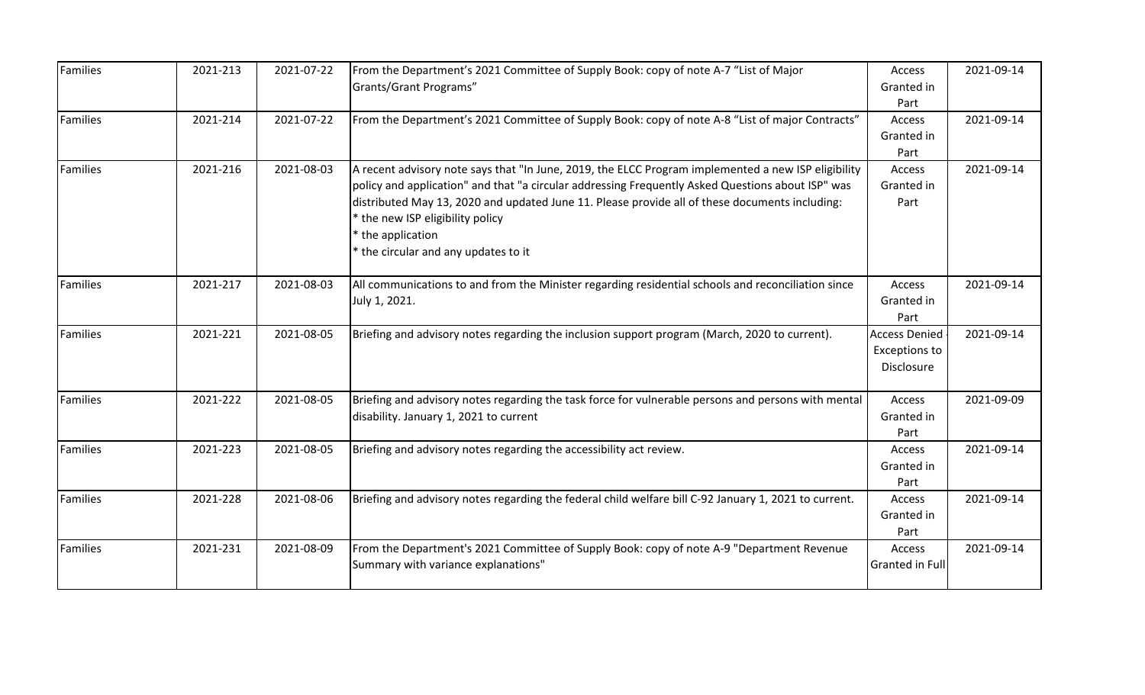| Families | 2021-213 | 2021-07-22 | From the Department's 2021 Committee of Supply Book: copy of note A-7 "List of Major<br>Grants/Grant Programs"                                                                                                                                                                                                                                                                                            | Access<br>Granted in<br>Part                               | 2021-09-14 |
|----------|----------|------------|-----------------------------------------------------------------------------------------------------------------------------------------------------------------------------------------------------------------------------------------------------------------------------------------------------------------------------------------------------------------------------------------------------------|------------------------------------------------------------|------------|
| Families | 2021-214 | 2021-07-22 | From the Department's 2021 Committee of Supply Book: copy of note A-8 "List of major Contracts"                                                                                                                                                                                                                                                                                                           | Access<br>Granted in<br>Part                               | 2021-09-14 |
| Families | 2021-216 | 2021-08-03 | A recent advisory note says that "In June, 2019, the ELCC Program implemented a new ISP eligibility<br>policy and application" and that "a circular addressing Frequently Asked Questions about ISP" was<br>distributed May 13, 2020 and updated June 11. Please provide all of these documents including:<br>* the new ISP eligibility policy<br>the application<br>* the circular and any updates to it | Access<br>Granted in<br>Part                               | 2021-09-14 |
| Families | 2021-217 | 2021-08-03 | All communications to and from the Minister regarding residential schools and reconciliation since<br>July 1, 2021.                                                                                                                                                                                                                                                                                       | Access<br>Granted in<br>Part                               | 2021-09-14 |
| Families | 2021-221 | 2021-08-05 | Briefing and advisory notes regarding the inclusion support program (March, 2020 to current).                                                                                                                                                                                                                                                                                                             | <b>Access Denied</b><br><b>Exceptions to</b><br>Disclosure | 2021-09-14 |
| Families | 2021-222 | 2021-08-05 | Briefing and advisory notes regarding the task force for vulnerable persons and persons with mental<br>disability. January 1, 2021 to current                                                                                                                                                                                                                                                             | Access<br>Granted in<br>Part                               | 2021-09-09 |
| Families | 2021-223 | 2021-08-05 | Briefing and advisory notes regarding the accessibility act review.                                                                                                                                                                                                                                                                                                                                       | Access<br>Granted in<br>Part                               | 2021-09-14 |
| Families | 2021-228 | 2021-08-06 | Briefing and advisory notes regarding the federal child welfare bill C-92 January 1, 2021 to current.                                                                                                                                                                                                                                                                                                     | Access<br>Granted in<br>Part                               | 2021-09-14 |
| Families | 2021-231 | 2021-08-09 | From the Department's 2021 Committee of Supply Book: copy of note A-9 "Department Revenue<br>Summary with variance explanations"                                                                                                                                                                                                                                                                          | Access<br>Granted in Full                                  | 2021-09-14 |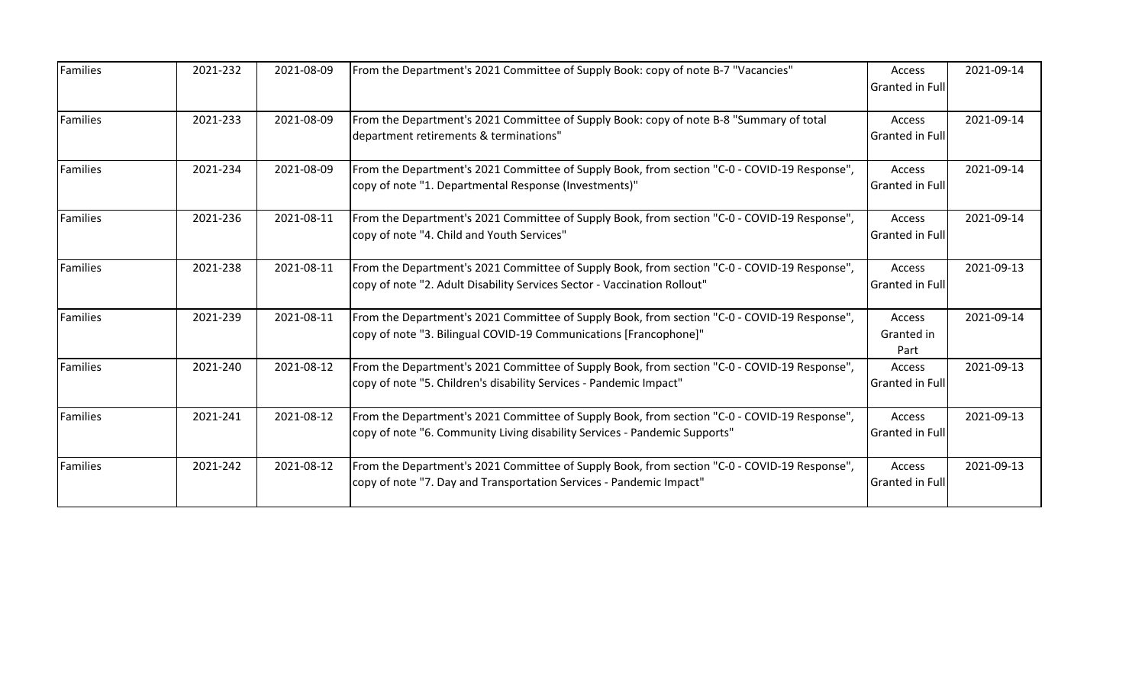| Families | 2021-232 | 2021-08-09 | From the Department's 2021 Committee of Supply Book: copy of note B-7 "Vacancies"                                                                                          | Access<br>Granted in Full        | 2021-09-14 |
|----------|----------|------------|----------------------------------------------------------------------------------------------------------------------------------------------------------------------------|----------------------------------|------------|
| Families | 2021-233 | 2021-08-09 | From the Department's 2021 Committee of Supply Book: copy of note B-8 "Summary of total<br>department retirements & terminations"                                          | Access<br><b>Granted in Full</b> | 2021-09-14 |
| Families | 2021-234 | 2021-08-09 | From the Department's 2021 Committee of Supply Book, from section "C-0 - COVID-19 Response",<br>copy of note "1. Departmental Response (Investments)"                      | Access<br>Granted in Full        | 2021-09-14 |
| Families | 2021-236 | 2021-08-11 | From the Department's 2021 Committee of Supply Book, from section "C-0 - COVID-19 Response",<br>copy of note "4. Child and Youth Services"                                 | Access<br>Granted in Full        | 2021-09-14 |
| Families | 2021-238 | 2021-08-11 | From the Department's 2021 Committee of Supply Book, from section "C-0 - COVID-19 Response",<br>copy of note "2. Adult Disability Services Sector - Vaccination Rollout"   | Access<br><b>Granted in Full</b> | 2021-09-13 |
| Families | 2021-239 | 2021-08-11 | From the Department's 2021 Committee of Supply Book, from section "C-0 - COVID-19 Response",<br>copy of note "3. Bilingual COVID-19 Communications [Francophone]"          | Access<br>Granted in<br>Part     | 2021-09-14 |
| Families | 2021-240 | 2021-08-12 | From the Department's 2021 Committee of Supply Book, from section "C-0 - COVID-19 Response",<br>copy of note "5. Children's disability Services - Pandemic Impact"         | Access<br>Granted in Full        | 2021-09-13 |
| Families | 2021-241 | 2021-08-12 | From the Department's 2021 Committee of Supply Book, from section "C-0 - COVID-19 Response",<br>copy of note "6. Community Living disability Services - Pandemic Supports" | Access<br><b>Granted in Full</b> | 2021-09-13 |
| Families | 2021-242 | 2021-08-12 | From the Department's 2021 Committee of Supply Book, from section "C-0 - COVID-19 Response",<br>copy of note "7. Day and Transportation Services - Pandemic Impact"        | Access<br>Granted in Full        | 2021-09-13 |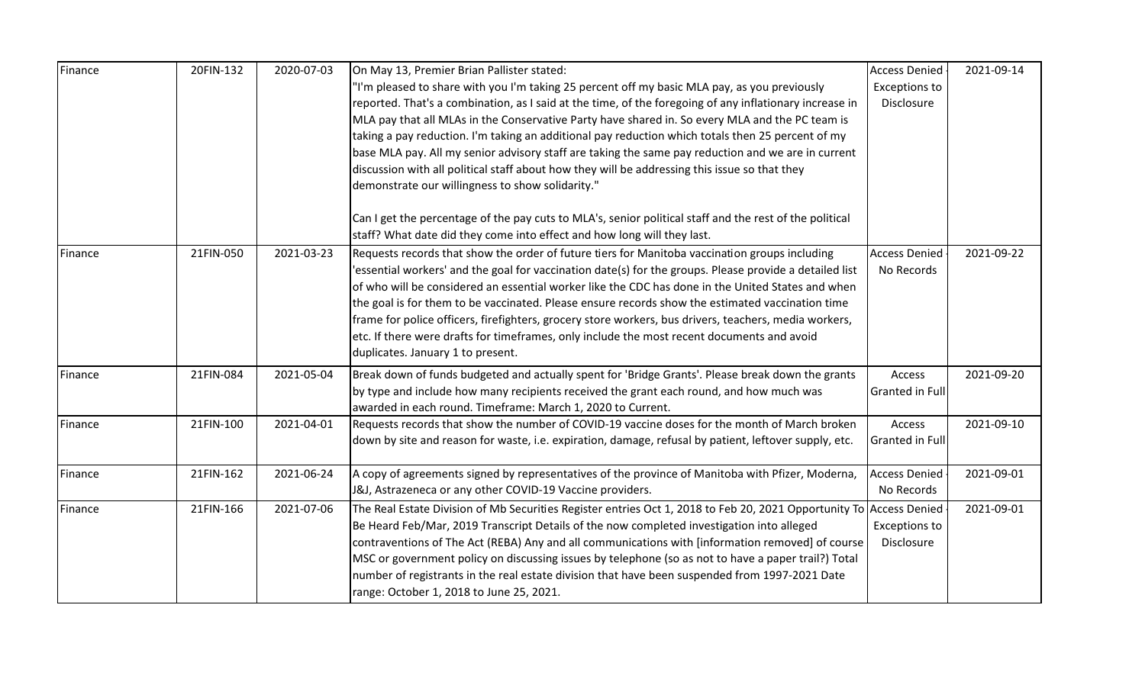| Finance | 20FIN-132 | 2020-07-03 | On May 13, Premier Brian Pallister stated:                                                                          | <b>Access Denied</b>   | 2021-09-14 |
|---------|-----------|------------|---------------------------------------------------------------------------------------------------------------------|------------------------|------------|
|         |           |            | "I'm pleased to share with you I'm taking 25 percent off my basic MLA pay, as you previously                        | <b>Exceptions to</b>   |            |
|         |           |            | reported. That's a combination, as I said at the time, of the foregoing of any inflationary increase in             | Disclosure             |            |
|         |           |            | MLA pay that all MLAs in the Conservative Party have shared in. So every MLA and the PC team is                     |                        |            |
|         |           |            | taking a pay reduction. I'm taking an additional pay reduction which totals then 25 percent of my                   |                        |            |
|         |           |            | base MLA pay. All my senior advisory staff are taking the same pay reduction and we are in current                  |                        |            |
|         |           |            | discussion with all political staff about how they will be addressing this issue so that they                       |                        |            |
|         |           |            | demonstrate our willingness to show solidarity."                                                                    |                        |            |
|         |           |            | Can I get the percentage of the pay cuts to MLA's, senior political staff and the rest of the political             |                        |            |
|         |           |            | staff? What date did they come into effect and how long will they last.                                             |                        |            |
| Finance | 21FIN-050 | 2021-03-23 | Requests records that show the order of future tiers for Manitoba vaccination groups including                      | <b>Access Denied</b>   | 2021-09-22 |
|         |           |            | 'essential workers' and the goal for vaccination date(s) for the groups. Please provide a detailed list             | No Records             |            |
|         |           |            | of who will be considered an essential worker like the CDC has done in the United States and when                   |                        |            |
|         |           |            | the goal is for them to be vaccinated. Please ensure records show the estimated vaccination time                    |                        |            |
|         |           |            | frame for police officers, firefighters, grocery store workers, bus drivers, teachers, media workers,               |                        |            |
|         |           |            | etc. If there were drafts for timeframes, only include the most recent documents and avoid                          |                        |            |
|         |           |            | duplicates. January 1 to present.                                                                                   |                        |            |
| Finance | 21FIN-084 | 2021-05-04 | Break down of funds budgeted and actually spent for 'Bridge Grants'. Please break down the grants                   | Access                 | 2021-09-20 |
|         |           |            | by type and include how many recipients received the grant each round, and how much was                             | <b>Granted in Full</b> |            |
|         |           |            | awarded in each round. Timeframe: March 1, 2020 to Current.                                                         |                        |            |
| Finance | 21FIN-100 | 2021-04-01 | Requests records that show the number of COVID-19 vaccine doses for the month of March broken                       | Access                 | 2021-09-10 |
|         |           |            | down by site and reason for waste, i.e. expiration, damage, refusal by patient, leftover supply, etc.               | <b>Granted in Full</b> |            |
| Finance | 21FIN-162 | 2021-06-24 | A copy of agreements signed by representatives of the province of Manitoba with Pfizer, Moderna,                    | <b>Access Denied</b>   | 2021-09-01 |
|         |           |            | J&J, Astrazeneca or any other COVID-19 Vaccine providers.                                                           | No Records             |            |
| Finance | 21FIN-166 | 2021-07-06 | The Real Estate Division of Mb Securities Register entries Oct 1, 2018 to Feb 20, 2021 Opportunity To Access Denied |                        | 2021-09-01 |
|         |           |            | Be Heard Feb/Mar, 2019 Transcript Details of the now completed investigation into alleged                           | <b>Exceptions to</b>   |            |
|         |           |            | contraventions of The Act (REBA) Any and all communications with [information removed] of course                    | Disclosure             |            |
|         |           |            | MSC or government policy on discussing issues by telephone (so as not to have a paper trail?) Total                 |                        |            |
|         |           |            | number of registrants in the real estate division that have been suspended from 1997-2021 Date                      |                        |            |
|         |           |            | range: October 1, 2018 to June 25, 2021.                                                                            |                        |            |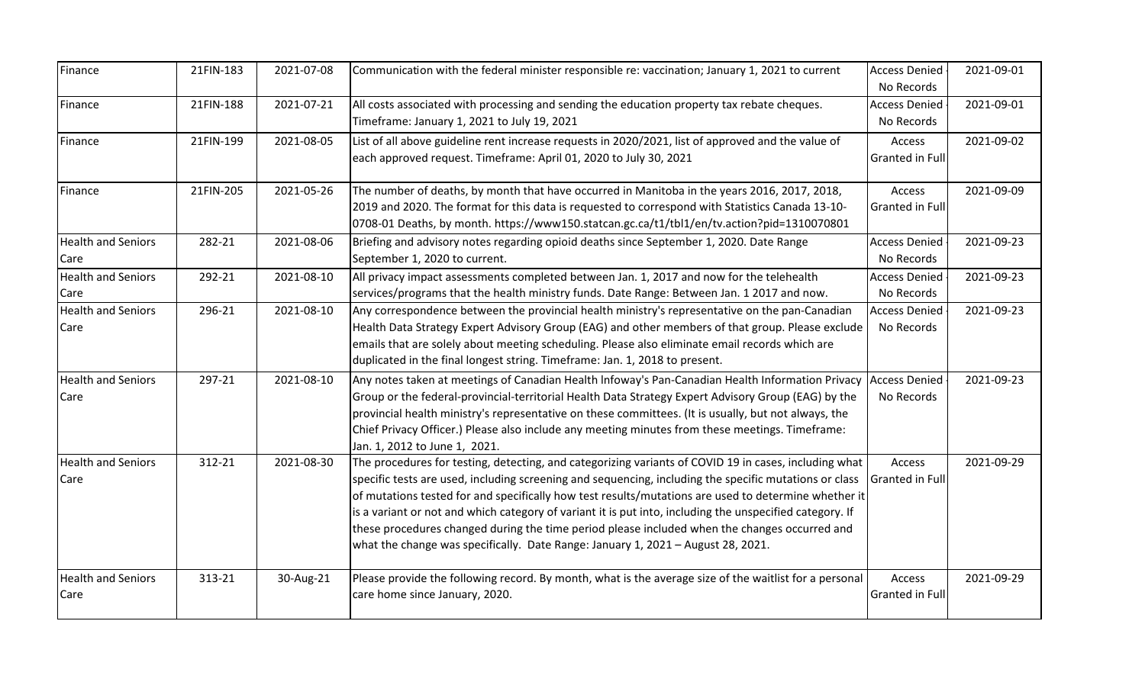| Finance                           | 21FIN-183 | 2021-07-08 | Communication with the federal minister responsible re: vaccination; January 1, 2021 to current                                                                                                                                                                                                                                                                                                                                                                                                                                                                                                                          | <b>Access Denied</b><br>No Records | 2021-09-01 |
|-----------------------------------|-----------|------------|--------------------------------------------------------------------------------------------------------------------------------------------------------------------------------------------------------------------------------------------------------------------------------------------------------------------------------------------------------------------------------------------------------------------------------------------------------------------------------------------------------------------------------------------------------------------------------------------------------------------------|------------------------------------|------------|
| Finance                           | 21FIN-188 | 2021-07-21 | All costs associated with processing and sending the education property tax rebate cheques.<br>Timeframe: January 1, 2021 to July 19, 2021                                                                                                                                                                                                                                                                                                                                                                                                                                                                               | <b>Access Denied</b><br>No Records | 2021-09-01 |
| Finance                           | 21FIN-199 | 2021-08-05 | List of all above guideline rent increase requests in 2020/2021, list of approved and the value of<br>each approved request. Timeframe: April 01, 2020 to July 30, 2021                                                                                                                                                                                                                                                                                                                                                                                                                                                  | Access<br><b>Granted in Full</b>   | 2021-09-02 |
| Finance                           | 21FIN-205 | 2021-05-26 | The number of deaths, by month that have occurred in Manitoba in the years 2016, 2017, 2018,<br>2019 and 2020. The format for this data is requested to correspond with Statistics Canada 13-10-<br>0708-01 Deaths, by month. https://www150.statcan.gc.ca/t1/tbl1/en/tv.action?pid=1310070801                                                                                                                                                                                                                                                                                                                           | Access<br><b>Granted in Full</b>   | 2021-09-09 |
| <b>Health and Seniors</b><br>Care | 282-21    | 2021-08-06 | Briefing and advisory notes regarding opioid deaths since September 1, 2020. Date Range<br>September 1, 2020 to current.                                                                                                                                                                                                                                                                                                                                                                                                                                                                                                 | <b>Access Denied</b><br>No Records | 2021-09-23 |
| <b>Health and Seniors</b><br>Care | 292-21    | 2021-08-10 | All privacy impact assessments completed between Jan. 1, 2017 and now for the telehealth<br>services/programs that the health ministry funds. Date Range: Between Jan. 1 2017 and now.                                                                                                                                                                                                                                                                                                                                                                                                                                   | <b>Access Denied</b><br>No Records | 2021-09-23 |
| <b>Health and Seniors</b><br>Care | 296-21    | 2021-08-10 | Any correspondence between the provincial health ministry's representative on the pan-Canadian<br>Health Data Strategy Expert Advisory Group (EAG) and other members of that group. Please exclude<br>emails that are solely about meeting scheduling. Please also eliminate email records which are<br>duplicated in the final longest string. Timeframe: Jan. 1, 2018 to present.                                                                                                                                                                                                                                      | <b>Access Denied</b><br>No Records | 2021-09-23 |
| <b>Health and Seniors</b><br>Care | 297-21    | 2021-08-10 | Any notes taken at meetings of Canadian Health Infoway's Pan-Canadian Health Information Privacy<br>Group or the federal-provincial-territorial Health Data Strategy Expert Advisory Group (EAG) by the<br>provincial health ministry's representative on these committees. (It is usually, but not always, the<br>Chief Privacy Officer.) Please also include any meeting minutes from these meetings. Timeframe:<br>Jan. 1, 2012 to June 1, 2021.                                                                                                                                                                      | <b>Access Denied</b><br>No Records | 2021-09-23 |
| <b>Health and Seniors</b><br>Care | 312-21    | 2021-08-30 | The procedures for testing, detecting, and categorizing variants of COVID 19 in cases, including what<br>specific tests are used, including screening and sequencing, including the specific mutations or class<br>of mutations tested for and specifically how test results/mutations are used to determine whether it<br>is a variant or not and which category of variant it is put into, including the unspecified category. If<br>these procedures changed during the time period please included when the changes occurred and<br>what the change was specifically. Date Range: January 1, 2021 - August 28, 2021. | Access<br><b>Granted in Full</b>   | 2021-09-29 |
| <b>Health and Seniors</b><br>Care | 313-21    | 30-Aug-21  | Please provide the following record. By month, what is the average size of the waitlist for a personal<br>care home since January, 2020.                                                                                                                                                                                                                                                                                                                                                                                                                                                                                 | Access<br><b>Granted in Full</b>   | 2021-09-29 |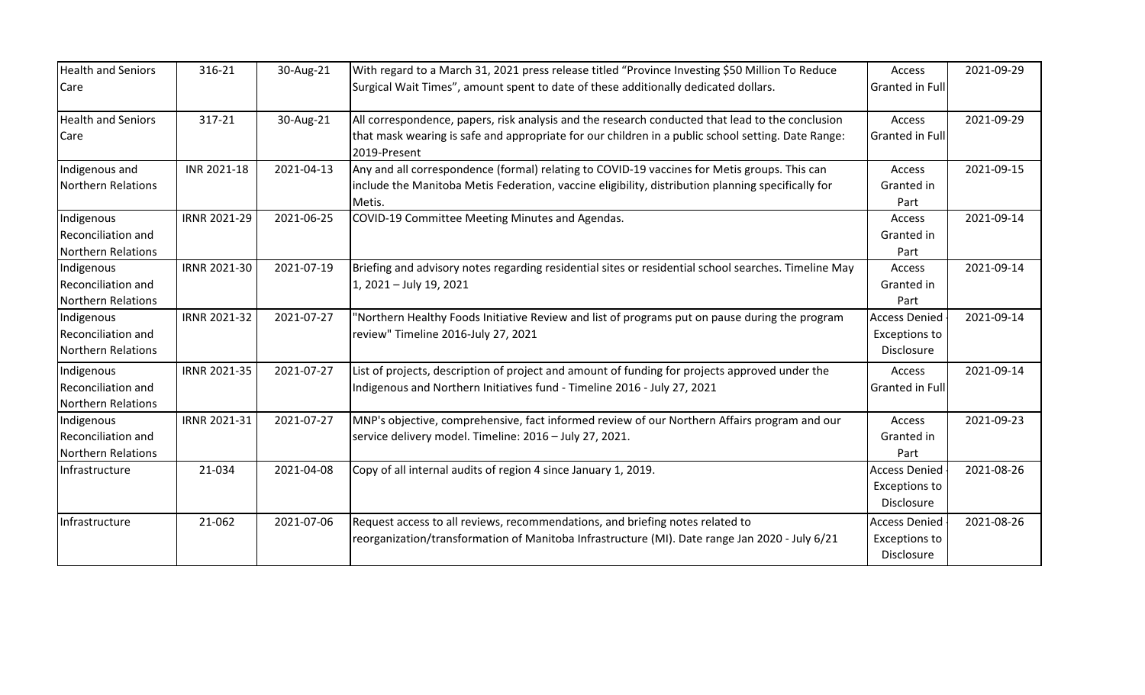| <b>Health and Seniors</b><br>Care                                     | 316-21       | 30-Aug-21  | With regard to a March 31, 2021 press release titled "Province Investing \$50 Million To Reduce<br>Surgical Wait Times", amount spent to date of these additionally dedicated dollars.                                 | Access<br><b>Granted in Full</b>                                  | 2021-09-29 |
|-----------------------------------------------------------------------|--------------|------------|------------------------------------------------------------------------------------------------------------------------------------------------------------------------------------------------------------------------|-------------------------------------------------------------------|------------|
| <b>Health and Seniors</b><br>Care                                     | 317-21       | 30-Aug-21  | All correspondence, papers, risk analysis and the research conducted that lead to the conclusion<br>that mask wearing is safe and appropriate for our children in a public school setting. Date Range:<br>2019-Present | Access<br>Granted in Full                                         | 2021-09-29 |
| Indigenous and<br>Northern Relations                                  | INR 2021-18  | 2021-04-13 | Any and all correspondence (formal) relating to COVID-19 vaccines for Metis groups. This can<br>include the Manitoba Metis Federation, vaccine eligibility, distribution planning specifically for<br>Metis.           | Access<br>Granted in<br>Part                                      | 2021-09-15 |
| Indigenous<br><b>Reconciliation and</b><br><b>Northern Relations</b>  | IRNR 2021-29 | 2021-06-25 | COVID-19 Committee Meeting Minutes and Agendas.                                                                                                                                                                        | Access<br>Granted in<br>Part                                      | 2021-09-14 |
| Indigenous<br><b>Reconciliation and</b><br>Northern Relations         | IRNR 2021-30 | 2021-07-19 | Briefing and advisory notes regarding residential sites or residential school searches. Timeline May<br>1, 2021 - July 19, 2021                                                                                        | Access<br>Granted in<br>Part                                      | 2021-09-14 |
| Indigenous<br><b>Reconciliation and</b><br><b>INorthern Relations</b> | IRNR 2021-32 | 2021-07-27 | "Northern Healthy Foods Initiative Review and list of programs put on pause during the program<br>review" Timeline 2016-July 27, 2021                                                                                  | <b>Access Denied</b><br><b>Exceptions to</b><br><b>Disclosure</b> | 2021-09-14 |
| Indigenous<br><b>Reconciliation and</b><br>Northern Relations         | IRNR 2021-35 | 2021-07-27 | List of projects, description of project and amount of funding for projects approved under the<br>Indigenous and Northern Initiatives fund - Timeline 2016 - July 27, 2021                                             | Access<br><b>Granted in Full</b>                                  | 2021-09-14 |
| Indigenous<br><b>Reconciliation and</b><br><b>Northern Relations</b>  | IRNR 2021-31 | 2021-07-27 | MNP's objective, comprehensive, fact informed review of our Northern Affairs program and our<br>service delivery model. Timeline: 2016 - July 27, 2021.                                                                | Access<br>Granted in<br>Part                                      | 2021-09-23 |
| Infrastructure                                                        | 21-034       | 2021-04-08 | Copy of all internal audits of region 4 since January 1, 2019.                                                                                                                                                         | <b>Access Denied</b><br><b>Exceptions to</b><br>Disclosure        | 2021-08-26 |
| Infrastructure                                                        | 21-062       | 2021-07-06 | Request access to all reviews, recommendations, and briefing notes related to<br>reorganization/transformation of Manitoba Infrastructure (MI). Date range Jan 2020 - July 6/21                                        | <b>Access Denied</b><br><b>Exceptions to</b><br>Disclosure        | 2021-08-26 |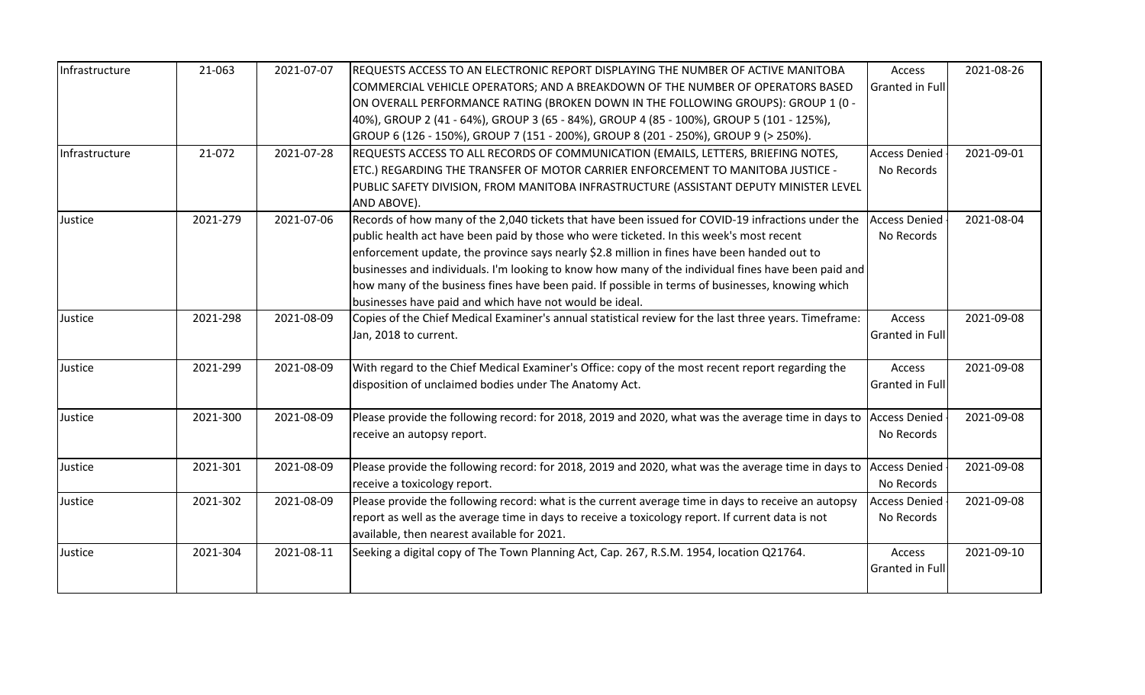| Infrastructure | 21-063   | 2021-07-07 | REQUESTS ACCESS TO AN ELECTRONIC REPORT DISPLAYING THE NUMBER OF ACTIVE MANITOBA                      | Access                 | 2021-08-26 |
|----------------|----------|------------|-------------------------------------------------------------------------------------------------------|------------------------|------------|
|                |          |            | COMMERCIAL VEHICLE OPERATORS; AND A BREAKDOWN OF THE NUMBER OF OPERATORS BASED                        | <b>Granted in Full</b> |            |
|                |          |            | ON OVERALL PERFORMANCE RATING (BROKEN DOWN IN THE FOLLOWING GROUPS): GROUP 1 (0 -                     |                        |            |
|                |          |            | 40%), GROUP 2 (41 - 64%), GROUP 3 (65 - 84%), GROUP 4 (85 - 100%), GROUP 5 (101 - 125%),              |                        |            |
|                |          |            | GROUP 6 (126 - 150%), GROUP 7 (151 - 200%), GROUP 8 (201 - 250%), GROUP 9 (> 250%).                   |                        |            |
| Infrastructure | 21-072   | 2021-07-28 | REQUESTS ACCESS TO ALL RECORDS OF COMMUNICATION (EMAILS, LETTERS, BRIEFING NOTES,                     | <b>Access Denied</b>   | 2021-09-01 |
|                |          |            | ETC.) REGARDING THE TRANSFER OF MOTOR CARRIER ENFORCEMENT TO MANITOBA JUSTICE -                       | No Records             |            |
|                |          |            | PUBLIC SAFETY DIVISION, FROM MANITOBA INFRASTRUCTURE (ASSISTANT DEPUTY MINISTER LEVEL                 |                        |            |
|                |          |            | AND ABOVE).                                                                                           |                        |            |
| Justice        | 2021-279 | 2021-07-06 | Records of how many of the 2,040 tickets that have been issued for COVID-19 infractions under the     | <b>Access Denied</b>   | 2021-08-04 |
|                |          |            | public health act have been paid by those who were ticketed. In this week's most recent               | No Records             |            |
|                |          |            | enforcement update, the province says nearly \$2.8 million in fines have been handed out to           |                        |            |
|                |          |            | businesses and individuals. I'm looking to know how many of the individual fines have been paid and   |                        |            |
|                |          |            | how many of the business fines have been paid. If possible in terms of businesses, knowing which      |                        |            |
|                |          |            | businesses have paid and which have not would be ideal.                                               |                        |            |
| Justice        | 2021-298 | 2021-08-09 | Copies of the Chief Medical Examiner's annual statistical review for the last three years. Timeframe: | Access                 | 2021-09-08 |
|                |          |            | Jan, 2018 to current.                                                                                 | <b>Granted in Full</b> |            |
| Justice        | 2021-299 | 2021-08-09 | With regard to the Chief Medical Examiner's Office: copy of the most recent report regarding the      | Access                 | 2021-09-08 |
|                |          |            | disposition of unclaimed bodies under The Anatomy Act.                                                | <b>Granted in Full</b> |            |
| Justice        | 2021-300 | 2021-08-09 | Please provide the following record: for 2018, 2019 and 2020, what was the average time in days to    | <b>Access Denied</b>   | 2021-09-08 |
|                |          |            | receive an autopsy report.                                                                            | No Records             |            |
|                |          |            |                                                                                                       |                        |            |
| Justice        | 2021-301 | 2021-08-09 | Please provide the following record: for 2018, 2019 and 2020, what was the average time in days to    | <b>Access Denied</b>   | 2021-09-08 |
|                |          |            | receive a toxicology report.                                                                          | No Records             |            |
| Justice        | 2021-302 | 2021-08-09 | Please provide the following record: what is the current average time in days to receive an autopsy   | <b>Access Denied</b>   | 2021-09-08 |
|                |          |            | report as well as the average time in days to receive a toxicology report. If current data is not     | No Records             |            |
|                |          |            | available, then nearest available for 2021.                                                           |                        |            |
| Justice        | 2021-304 | 2021-08-11 | Seeking a digital copy of The Town Planning Act, Cap. 267, R.S.M. 1954, location Q21764.              | Access                 | 2021-09-10 |
|                |          |            |                                                                                                       | <b>Granted in Full</b> |            |
|                |          |            |                                                                                                       |                        |            |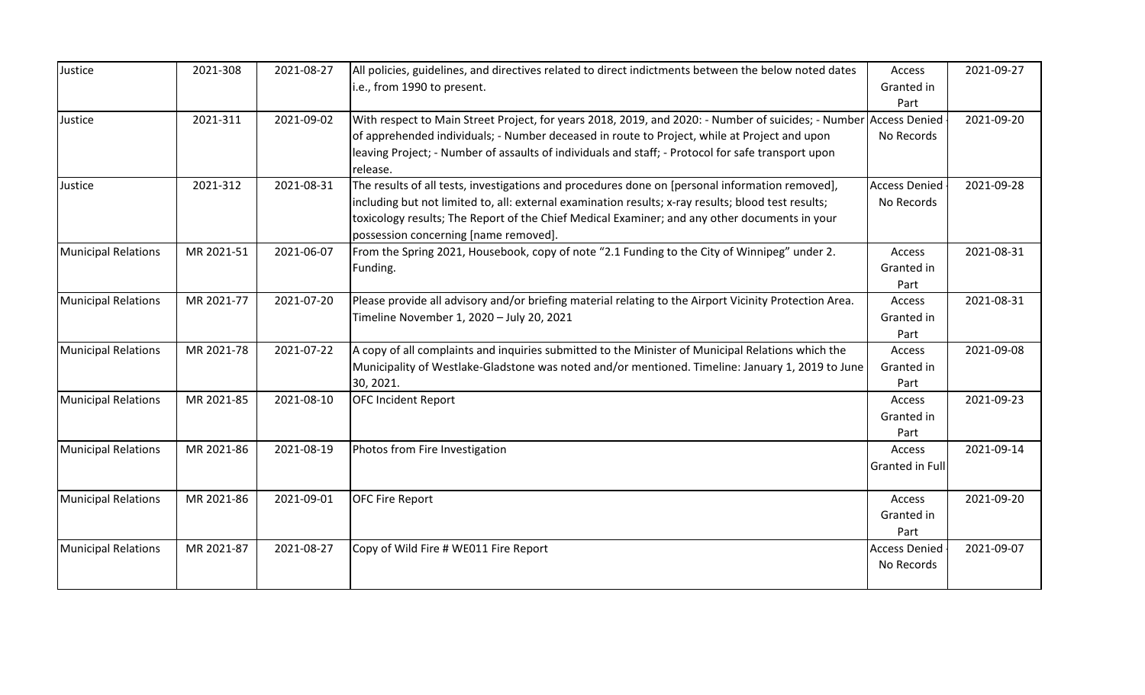| Justice                    | 2021-308   | 2021-08-27 | All policies, guidelines, and directives related to direct indictments between the below noted dates              | Access                 | 2021-09-27 |
|----------------------------|------------|------------|-------------------------------------------------------------------------------------------------------------------|------------------------|------------|
|                            |            |            | i.e., from 1990 to present.                                                                                       | Granted in             |            |
|                            |            |            |                                                                                                                   | Part                   |            |
| Justice                    | 2021-311   | 2021-09-02 | With respect to Main Street Project, for years 2018, 2019, and 2020: - Number of suicides; - Number Access Denied |                        | 2021-09-20 |
|                            |            |            | of apprehended individuals; - Number deceased in route to Project, while at Project and upon                      | No Records             |            |
|                            |            |            | leaving Project; - Number of assaults of individuals and staff; - Protocol for safe transport upon                |                        |            |
|                            |            |            | release.                                                                                                          |                        |            |
| Justice                    | 2021-312   | 2021-08-31 | The results of all tests, investigations and procedures done on [personal information removed],                   | <b>Access Denied</b>   | 2021-09-28 |
|                            |            |            | including but not limited to, all: external examination results; x-ray results; blood test results;               | No Records             |            |
|                            |            |            | toxicology results; The Report of the Chief Medical Examiner; and any other documents in your                     |                        |            |
|                            |            |            | possession concerning [name removed].                                                                             |                        |            |
| <b>Municipal Relations</b> | MR 2021-51 | 2021-06-07 | From the Spring 2021, Housebook, copy of note "2.1 Funding to the City of Winnipeg" under 2.                      | Access                 | 2021-08-31 |
|                            |            |            | Funding.                                                                                                          | Granted in             |            |
|                            |            |            |                                                                                                                   | Part                   |            |
| <b>Municipal Relations</b> | MR 2021-77 | 2021-07-20 | Please provide all advisory and/or briefing material relating to the Airport Vicinity Protection Area.            | Access                 | 2021-08-31 |
|                            |            |            | Timeline November 1, 2020 - July 20, 2021                                                                         | Granted in             |            |
|                            |            |            |                                                                                                                   | Part                   |            |
| <b>Municipal Relations</b> | MR 2021-78 | 2021-07-22 | A copy of all complaints and inquiries submitted to the Minister of Municipal Relations which the                 | Access                 | 2021-09-08 |
|                            |            |            | Municipality of Westlake-Gladstone was noted and/or mentioned. Timeline: January 1, 2019 to June                  | Granted in             |            |
|                            |            |            | 30, 2021.                                                                                                         | Part                   |            |
| <b>Municipal Relations</b> | MR 2021-85 | 2021-08-10 | <b>OFC Incident Report</b>                                                                                        | Access                 | 2021-09-23 |
|                            |            |            |                                                                                                                   | Granted in             |            |
|                            |            |            |                                                                                                                   | Part                   |            |
| <b>Municipal Relations</b> | MR 2021-86 | 2021-08-19 | Photos from Fire Investigation                                                                                    | Access                 | 2021-09-14 |
|                            |            |            |                                                                                                                   | <b>Granted in Full</b> |            |
|                            |            |            |                                                                                                                   |                        |            |
| <b>Municipal Relations</b> | MR 2021-86 | 2021-09-01 | <b>OFC Fire Report</b>                                                                                            | Access                 | 2021-09-20 |
|                            |            |            |                                                                                                                   | Granted in             |            |
|                            |            |            |                                                                                                                   | Part                   |            |
| <b>Municipal Relations</b> | MR 2021-87 | 2021-08-27 | Copy of Wild Fire # WE011 Fire Report                                                                             | <b>Access Denied</b>   | 2021-09-07 |
|                            |            |            |                                                                                                                   | No Records             |            |
|                            |            |            |                                                                                                                   |                        |            |